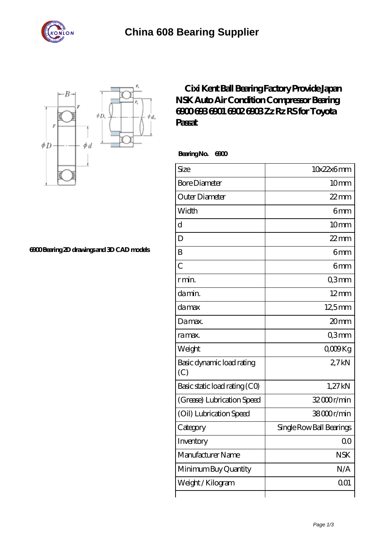

## **[China 608 Bearing Supplier](https://m.stavangerguiden.com)**



**[6900 Bearing 2D drawings and 3D CAD models](https://m.stavangerguiden.com/pic-677232.html)**

## **[Cixi Kent Ball Bearing Factory Provide Japan](https://m.stavangerguiden.com/nsk-6902-bearing/nsk-6900.html) [NSK Auto Air Condition Compressor Bearing](https://m.stavangerguiden.com/nsk-6902-bearing/nsk-6900.html) [6900 693 6901 6902 6903 Zz Rz RS for Toyota](https://m.stavangerguiden.com/nsk-6902-bearing/nsk-6900.html) [Passat](https://m.stavangerguiden.com/nsk-6902-bearing/nsk-6900.html)**

 **Bearing No. 6900**

| Size                             | 10x22x6mm                |
|----------------------------------|--------------------------|
| <b>Bore Diameter</b>             | 10mm                     |
| Outer Diameter                   | $22$ mm                  |
| Width                            | 6 <sub>mm</sub>          |
| $\mathbf d$                      | 10mm                     |
| D                                | $22$ mm                  |
| B                                | 6mm                      |
| $\overline{C}$                   | 6mm                      |
| r min.                           | Q3mm                     |
| da min.                          | $12 \text{mm}$           |
| damax                            | 12,5mm                   |
| Damax.                           | 20mm                     |
| ra max.                          | Q3mm                     |
| Weight                           | $0000$ Kg                |
| Basic dynamic load rating<br>(C) | 27kN                     |
| Basic static load rating (CO)    | 1,27kN                   |
| (Grease) Lubrication Speed       | 32000r/min               |
| (Oil) Lubrication Speed          | 38000r/min               |
| Category                         | Single Row Ball Bearings |
| Inventory                        | 0 <sup>0</sup>           |
| Manufacturer Name                | <b>NSK</b>               |
| Minimum Buy Quantity             | N/A                      |
| Weight/Kilogram                  | 001                      |
|                                  |                          |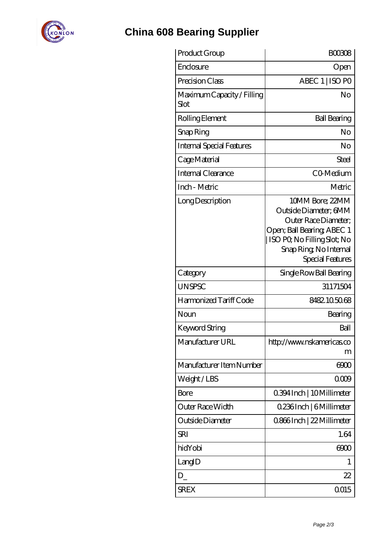

## **[China 608 Bearing Supplier](https://m.stavangerguiden.com)**

| Product Group                      | <b>BOO308</b>                                                                                                                                                              |
|------------------------------------|----------------------------------------------------------------------------------------------------------------------------------------------------------------------------|
| Enclosure                          | Open                                                                                                                                                                       |
| Precision Class                    | ABEC 1   ISO PO                                                                                                                                                            |
| Maximum Capacity / Filling<br>Slot | No                                                                                                                                                                         |
| Rolling Element                    | <b>Ball Bearing</b>                                                                                                                                                        |
| Snap Ring                          | No                                                                                                                                                                         |
| Internal Special Features          | No                                                                                                                                                                         |
| Cage Material                      | Steel                                                                                                                                                                      |
| Internal Clearance                 | CO-Medium                                                                                                                                                                  |
| Inch - Metric                      | Metric                                                                                                                                                                     |
| Long Description                   | 10MM Bore; 22MM<br>Outside Diameter; 6MM<br>Outer Race Diameter;<br>Open; Ball Bearing; ABEC 1<br>ISO PQ No Filling Slot; No<br>Snap Ring, No Internal<br>Special Features |
| Category                           | Single Row Ball Bearing                                                                                                                                                    |
| UNSPSC                             | 31171504                                                                                                                                                                   |
| Harmonized Tariff Code             | 8482105068                                                                                                                                                                 |
| Noun                               | Bearing                                                                                                                                                                    |
| Keyword String                     | Ball                                                                                                                                                                       |
| Manufacturer URL                   | http://www.nskamericas.co<br>m                                                                                                                                             |
| Manufacturer Item Number           | 6900                                                                                                                                                                       |
| Weight/LBS                         | 0009                                                                                                                                                                       |
| Bore                               | 0.394 Inch   10 Millimeter                                                                                                                                                 |
| Outer Race Width                   | 0.236Inch   6Millimeter                                                                                                                                                    |
| Outside Diameter                   | 0.866Inch   22 Millimeter                                                                                                                                                  |
| <b>SRI</b>                         | 1.64                                                                                                                                                                       |
| hidYobi                            | 6900                                                                                                                                                                       |
| LangID                             | 1                                                                                                                                                                          |
| $D_{-}$                            | 22                                                                                                                                                                         |
| <b>SREX</b>                        | 0015                                                                                                                                                                       |